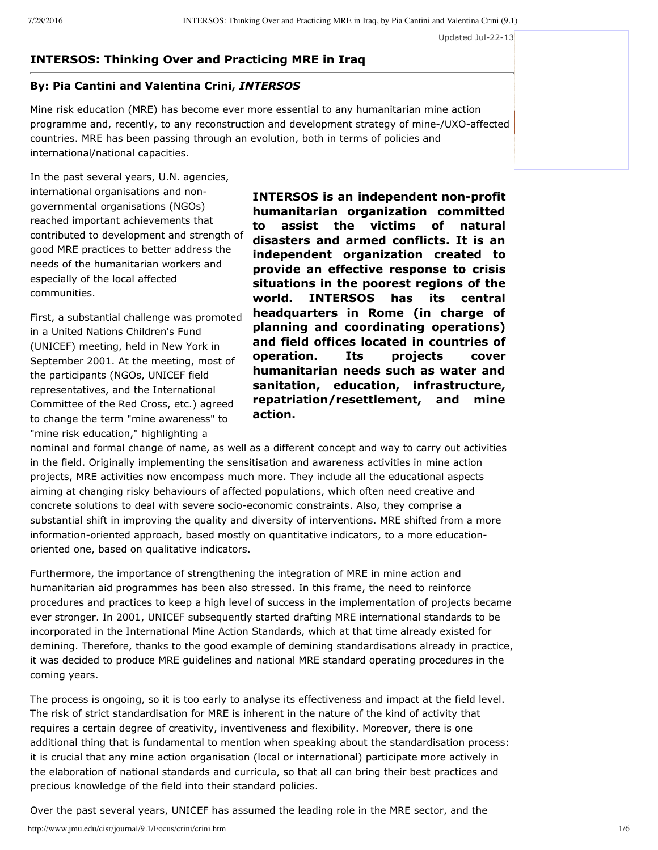Updated Jul-22-13

# **INTERSOS: Thinking Over and Practicing MRE in Iraq**

# **By: Pia Cantini and Valentina Crini,** *INTERSOS*

Mine risk education (MRE) has become ever more essential to any humanitarian mine action programme and, recently, to any reconstruction and development strategy of mine-/UXO-affected countries. MRE has been passing through an evolution, both in terms of policies and international/national capacities.

In the past several years, U.N. agencies, international organisations and nongovernmental organisations (NGOs) reached important achievements that contributed to development and strength of good MRE practices to better address the needs of the humanitarian workers and especially of the local affected communities.

First, a substantial challenge was promoted in a United Nations Children's Fund (UNICEF) meeting, held in New York in September 2001. At the meeting, most of the participants (NGOs, UNICEF field representatives, and the International Committee of the Red Cross, etc.) agreed to change the term "mine awareness" to "mine risk education," highlighting a

**INTERSOS** is an independent non-profit **humanitarian organization committed to assist the victims of natural disasters and armed conflicts. It is an independent organization created to provide an effective response to crisis situations in the poorest regions of the world. INTERSOS has its central headquarters in Rome (in charge of planning and coordinating operations) and field offices located in countries of operation. Its projects cover humanitarian needs such as water and sanitation, education, infrastructure, repatriation/resettlement, and mine action.**

nominal and formal change of name, as well as a different concept and way to carry out activities in the field. Originally implementing the sensitisation and awareness activities in mine action projects, MRE activities now encompass much more. They include all the educational aspects aiming at changing risky behaviours of affected populations, which often need creative and concrete solutions to deal with severe socio-economic constraints. Also, they comprise a substantial shift in improving the quality and diversity of interventions. MRE shifted from a more information-oriented approach, based mostly on quantitative indicators, to a more educationoriented one, based on qualitative indicators.

Furthermore, the importance of strengthening the integration of MRE in mine action and humanitarian aid programmes has been also stressed. In this frame, the need to reinforce procedures and practices to keep a high level of success in the implementation of projects became ever stronger. In 2001, UNICEF subsequently started drafting MRE international standards to be incorporated in the International Mine Action Standards, which at that time already existed for demining. Therefore, thanks to the good example of demining standardisations already in practice, it was decided to produce MRE guidelines and national MRE standard operating procedures in the coming years.

The process is ongoing, so it is too early to analyse its effectiveness and impact at the field level. The risk of strict standardisation for MRE is inherent in the nature of the kind of activity that requires a certain degree of creativity, inventiveness and flexibility. Moreover, there is one additional thing that is fundamental to mention when speaking about the standardisation process: it is crucial that any mine action organisation (local or international) participate more actively in the elaboration of national standards and curricula, so that all can bring their best practices and precious knowledge of the field into their standard policies.

Over the past several years, UNICEF has assumed the leading role in the MRE sector, and the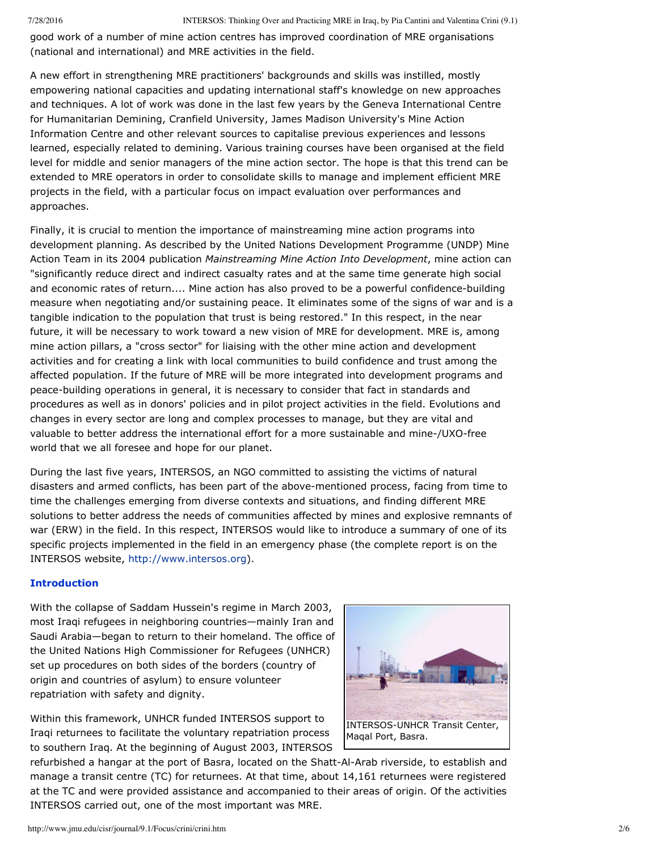good work of a number of mine action centres has improved coordination of MRE organisations (national and international) and MRE activities in the field.

A new effort in strengthening MRE practitioners' backgrounds and skills was instilled, mostly empowering national capacities and updating international staff's knowledge on new approaches and techniques. A lot of work was done in the last few years by the Geneva International Centre for Humanitarian Demining, Cranfield University, James Madison University's Mine Action Information Centre and other relevant sources to capitalise previous experiences and lessons learned, especially related to demining. Various training courses have been organised at the field level for middle and senior managers of the mine action sector. The hope is that this trend can be extended to MRE operators in order to consolidate skills to manage and implement efficient MRE projects in the field, with a particular focus on impact evaluation over performances and approaches.

Finally, it is crucial to mention the importance of mainstreaming mine action programs into development planning. As described by the United Nations Development Programme (UNDP) Mine Action Team in its 2004 publication *Mainstreaming Mine Action Into Development*, mine action can "significantly reduce direct and indirect casualty rates and at the same time generate high social and economic rates of return.... Mine action has also proved to be a powerful confidence-building measure when negotiating and/or sustaining peace. It eliminates some of the signs of war and is a tangible indication to the population that trust is being restored." In this respect, in the near future, it will be necessary to work toward a new vision of MRE for development. MRE is, among mine action pillars, a "cross sector" for liaising with the other mine action and development activities and for creating a link with local communities to build confidence and trust among the affected population. If the future of MRE will be more integrated into development programs and peace-building operations in general, it is necessary to consider that fact in standards and procedures as well as in donors' policies and in pilot project activities in the field. Evolutions and changes in every sector are long and complex processes to manage, but they are vital and valuable to better address the international effort for a more sustainable and mine-/UXO-free world that we all foresee and hope for our planet.

During the last five years, INTERSOS, an NGO committed to assisting the victims of natural disasters and armed conflicts, has been part of the above-mentioned process, facing from time to time the challenges emerging from diverse contexts and situations, and finding different MRE solutions to better address the needs of communities affected by mines and explosive remnants of war (ERW) in the field. In this respect, INTERSOS would like to introduce a summary of one of its specific projects implemented in the field in an emergency phase (the complete report is on the INTERSOS website, [http://www.intersos.org](http://www.intersos.org/)).

### **Introduction**

With the collapse of Saddam Hussein's regime in March 2003, most Iraqi refugees in neighboring countries—mainly Iran and Saudi Arabia—began to return to their homeland. The office of the United Nations High Commissioner for Refugees (UNHCR) set up procedures on both sides of the borders (country of origin and countries of asylum) to ensure volunteer repatriation with safety and dignity.

Within this framework, UNHCR funded INTERSOS support to Iraqi returnees to facilitate the voluntary repatriation process to southern Iraq. At the beginning of August 2003, INTERSOS



refurbished a hangar at the port of Basra, located on the Shatt-Al-Arab riverside, to establish and manage a transit centre (TC) for returnees. At that time, about 14,161 returnees were registered at the TC and were provided assistance and accompanied to their areas of origin. Of the activities INTERSOS carried out, one of the most important was MRE.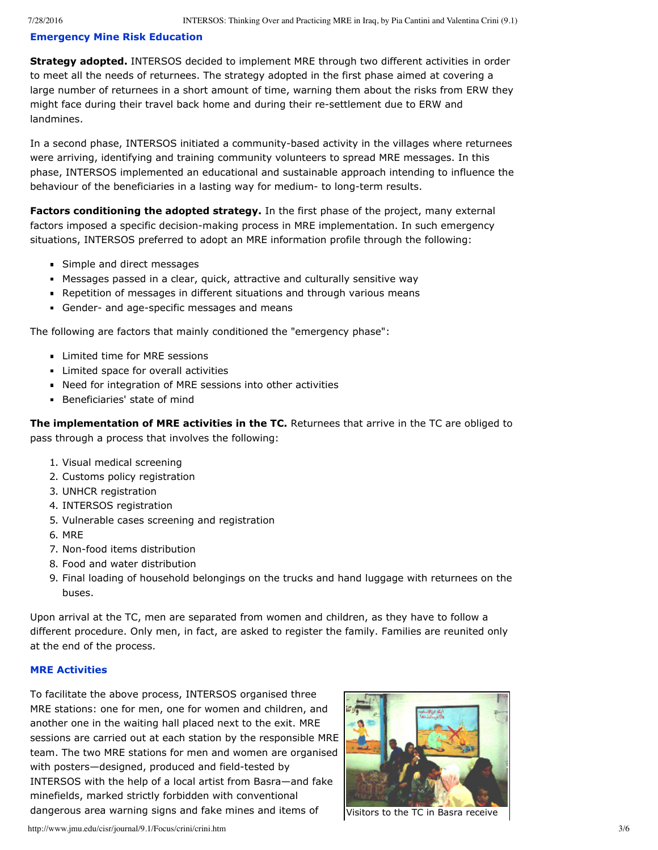# **Emergency Mine Risk Education**

**Strategy adopted.** INTERSOS decided to implement MRE through two different activities in order to meet all the needs of returnees. The strategy adopted in the first phase aimed at covering a large number of returnees in a short amount of time, warning them about the risks from ERW they might face during their travel back home and during their resettlement due to ERW and landmines.

In a second phase, INTERSOS initiated a community-based activity in the villages where returnees were arriving, identifying and training community volunteers to spread MRE messages. In this phase, INTERSOS implemented an educational and sustainable approach intending to influence the behaviour of the beneficiaries in a lasting way for medium- to long-term results.

**Factors conditioning the adopted strategy.** In the first phase of the project, many external factors imposed a specific decision-making process in MRE implementation. In such emergency situations, INTERSOS preferred to adopt an MRE information profile through the following:

- **Simple and direct messages**
- Messages passed in a clear, quick, attractive and culturally sensitive way
- **Repetition of messages in different situations and through various means**
- Gender- and age-specific messages and means

The following are factors that mainly conditioned the "emergency phase":

- **Limited time for MRE sessions**
- **Limited space for overall activities**
- Need for integration of MRE sessions into other activities
- **Beneficiaries' state of mind**

**The implementation of MRE activities in the TC.** Returnees that arrive in the TC are obliged to pass through a process that involves the following:

- 1. Visual medical screening
- 2. Customs policy registration
- 3. UNHCR registration
- 4. INTERSOS registration
- 5. Vulnerable cases screening and registration
- 6. MRE
- 7. Non-food items distribution
- 8. Food and water distribution
- 9. Final loading of household belongings on the trucks and hand luggage with returnees on the buses.

Upon arrival at the TC, men are separated from women and children, as they have to follow a different procedure. Only men, in fact, are asked to register the family. Families are reunited only at the end of the process.

## **MRE Activities**

To facilitate the above process, INTERSOS organised three MRE stations: one for men, one for women and children, and another one in the waiting hall placed next to the exit. MRE sessions are carried out at each station by the responsible MRE team. The two MRE stations for men and women are organised with posters-designed, produced and field-tested by INTERSOS with the help of a local artist from Basra—and fake minefields, marked strictly forbidden with conventional dangerous area warning signs and fake mines and items of



Visitors to the TC in Basra receive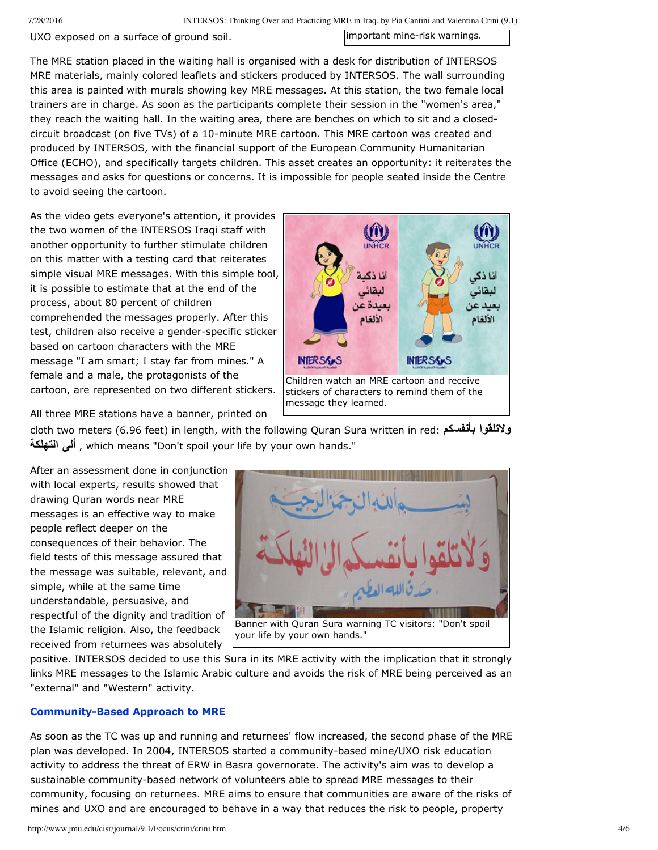7/28/2016 INTERSOS: Thinking Over and Practicing MRE in Iraq, by Pia Cantini and Valentina Crini (9.1)

UXO exposed on a surface of ground soil.

important mine-risk warnings.

The MRE station placed in the waiting hall is organised with a desk for distribution of INTERSOS MRE materials, mainly colored leaflets and stickers produced by INTERSOS. The wall surrounding this area is painted with murals showing key MRE messages. At this station, the two female local trainers are in charge. As soon as the participants complete their session in the "women's area," they reach the waiting hall. In the waiting area, there are benches on which to sit and a closedcircuit broadcast (on five TVs) of a 10-minute MRE cartoon. This MRE cartoon was created and produced by INTERSOS, with the financial support of the European Community Humanitarian Office (ECHO), and specifically targets children. This asset creates an opportunity: it reiterates the messages and asks for questions or concerns. It is impossible for people seated inside the Centre to avoid seeing the cartoon.

As the video gets everyone's attention, it provides the two women of the INTERSOS Iraqi staff with another opportunity to further stimulate children on this matter with a testing card that reiterates simple visual MRE messages. With this simple tool, it is possible to estimate that at the end of the process, about 80 percent of children comprehended the messages properly. After this test, children also receive a gender-specific sticker based on cartoon characters with the MRE message "I am smart; I stay far from mines." A female and a male, the protagonists of the cartoon, are represented on two different stickers.



All three MRE stations have a banner, printed on

cloth two meters (6.96 feet) in length, with the following Quran Sura written in red: **بأنفسكم ولاتلقوا التهلكة ألى** , which means "Don't spoil your life by your own hands."

After an assessment done in conjunction with local experts, results showed that drawing Quran words near MRE messages is an effective way to make people reflect deeper on the consequences of their behavior. The field tests of this message assured that the message was suitable, relevant, and simple, while at the same time understandable, persuasive, and respectful of the dignity and tradition of the Islamic religion. Also, the feedback received from returnees was absolutely



positive. INTERSOS decided to use this Sura in its MRE activity with the implication that it strongly

links MRE messages to the Islamic Arabic culture and avoids the risk of MRE being perceived as an "external" and "Western" activity.

# **Community-Based Approach to MRE**

As soon as the TC was up and running and returnees' flow increased, the second phase of the MRE plan was developed. In 2004, INTERSOS started a community-based mine/UXO risk education activity to address the threat of ERW in Basra governorate. The activity's aim was to develop a sustainable community-based network of volunteers able to spread MRE messages to their community, focusing on returnees. MRE aims to ensure that communities are aware of the risks of mines and UXO and are encouraged to behave in a way that reduces the risk to people, property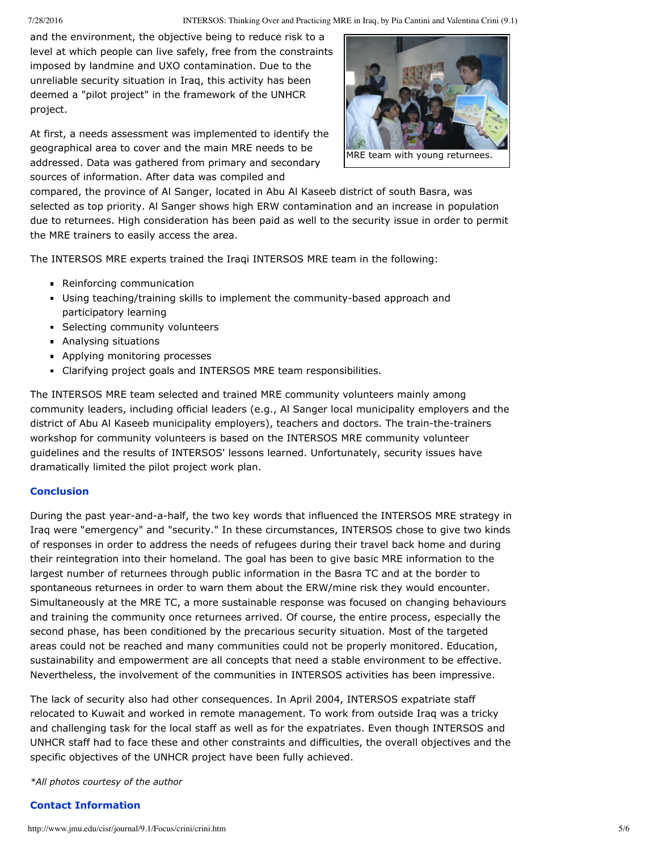#### 7/28/2016 INTERSOS: Thinking Over and Practicing MRE in Iraq, by Pia Cantini and Valentina Crini (9.1)

and the environment, the objective being to reduce risk to a level at which people can live safely, free from the constraints imposed by landmine and UXO contamination. Due to the unreliable security situation in Iraq, this activity has been deemed a "pilot project" in the framework of the UNHCR project.

At first, a needs assessment was implemented to identify the geographical area to cover and the main MRE needs to be addressed. Data was gathered from primary and secondary sources of information. After data was compiled and



compared, the province of Al Sanger, located in Abu Al Kaseeb district of south Basra, was selected as top priority. Al Sanger shows high ERW contamination and an increase in population due to returnees. High consideration has been paid as well to the security issue in order to permit the MRE trainers to easily access the area.

The INTERSOS MRE experts trained the Iraqi INTERSOS MRE team in the following:

- **Reinforcing communication**
- **Using teaching/training skills to implement the community-based approach and** participatory learning
- **Selecting community volunteers**
- **Analysing situations**
- **Applying monitoring processes**
- Clarifying project goals and INTERSOS MRE team responsibilities.

The INTERSOS MRE team selected and trained MRE community volunteers mainly among community leaders, including official leaders (e.g., Al Sanger local municipality employers and the district of Abu Al Kaseeb municipality employers), teachers and doctors. The train-the-trainers workshop for community volunteers is based on the INTERSOS MRE community volunteer guidelines and the results of INTERSOS' lessons learned. Unfortunately, security issues have dramatically limited the pilot project work plan.

# **Conclusion**

During the past year-and-a-half, the two key words that influenced the INTERSOS MRE strategy in Iraq were "emergency" and "security." In these circumstances, INTERSOS chose to give two kinds of responses in order to address the needs of refugees during their travel back home and during their reintegration into their homeland. The goal has been to give basic MRE information to the largest number of returnees through public information in the Basra TC and at the border to spontaneous returnees in order to warn them about the ERW/mine risk they would encounter. Simultaneously at the MRE TC, a more sustainable response was focused on changing behaviours and training the community once returnees arrived. Of course, the entire process, especially the second phase, has been conditioned by the precarious security situation. Most of the targeted areas could not be reached and many communities could not be properly monitored. Education, sustainability and empowerment are all concepts that need a stable environment to be effective. Nevertheless, the involvement of the communities in INTERSOS activities has been impressive.

The lack of security also had other consequences. In April 2004, INTERSOS expatriate staff relocated to Kuwait and worked in remote management. To work from outside Iraq was a tricky and challenging task for the local staff as well as for the expatriates. Even though INTERSOS and UNHCR staff had to face these and other constraints and difficulties, the overall objectives and the specific objectives of the UNHCR project have been fully achieved.

*\*All photos courtesy of the author*

# **Contact Information**